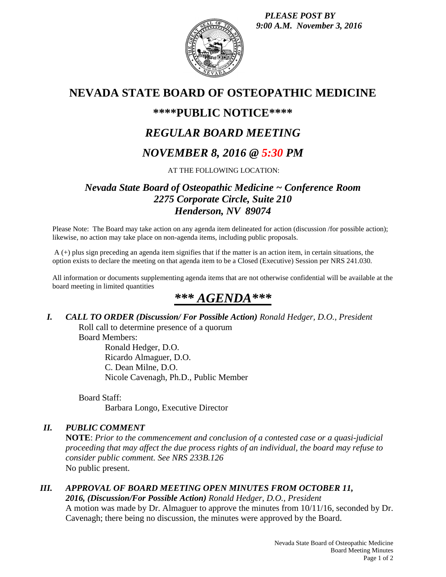*PLEASE POST BY 9:00 A.M. November 3, 2016*



## **NEVADA STATE BOARD OF OSTEOPATHIC MEDICINE**

### **\*\*\*\*PUBLIC NOTICE\*\*\*\***

## *REGULAR BOARD MEETING*

### *NOVEMBER 8, 2016 @ 5:30 PM*

AT THE FOLLOWING LOCATION:

### *Nevada State Board of Osteopathic Medicine ~ Conference Room 2275 Corporate Circle, Suite 210 Henderson, NV 89074*

Please Note: The Board may take action on any agenda item delineated for action (discussion /for possible action); likewise, no action may take place on non-agenda items, including public proposals.

A (+) plus sign preceding an agenda item signifies that if the matter is an action item, in certain situations, the option exists to declare the meeting on that agenda item to be a Closed (Executive) Session per NRS 241.030.

All information or documents supplementing agenda items that are not otherwise confidential will be available at the board meeting in limited quantities

# *\*\*\* AGENDA\*\*\**

*I. CALL TO ORDER (Discussion/ For Possible Action) Ronald Hedger, D.O., President* Roll call to determine presence of a quorum

Board Members:

Ronald Hedger, D.O. Ricardo Almaguer, D.O. C. Dean Milne, D.O. Nicole Cavenagh, Ph.D., Public Member

Board Staff: Barbara Longo, Executive Director

### *II. PUBLIC COMMENT*

**NOTE**: *Prior to the commencement and conclusion of a contested case or a quasi-judicial proceeding that may affect the due process rights of an individual, the board may refuse to consider public comment. See NRS 233B.126* No public present.

### *III. APPROVAL OF BOARD MEETING OPEN MINUTES FROM OCTOBER 11, 2016, (Discussion/For Possible Action) Ronald Hedger, D.O., President*

A motion was made by Dr. Almaguer to approve the minutes from 10/11/16, seconded by Dr. Cavenagh; there being no discussion, the minutes were approved by the Board.